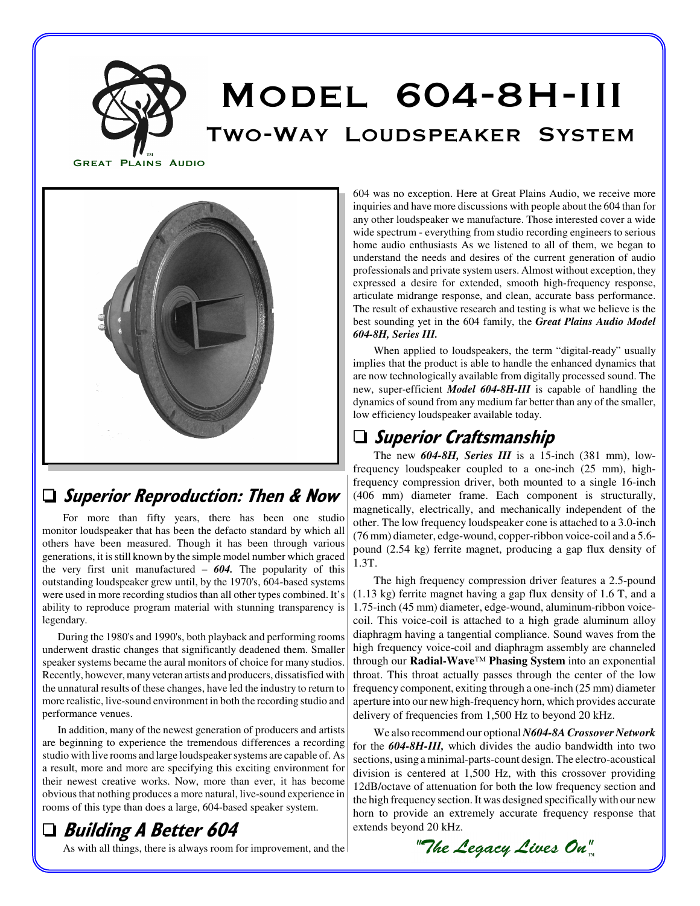



d

#### □ Superior Reproduction: Then & Now

For more than fifty years, there has been one studio monitor loudspeaker that has been the defacto standard by which all others have been measured. Though it has been through various generations, it is still known by the simple model number which graced the very first unit manufactured – *604.* The popularity of this outstanding loudspeaker grew until, by the 1970's, 604-based systems were used in more recording studios than all other types combined. It's ability to reproduce program material with stunning transparency is legendary.

During the 1980's and 1990's, both playback and performing rooms underwent drastic changes that significantly deadened them. Smaller speaker systems became the aural monitors of choice for many studios. Recently, however, many veteran artists and producers, dissatisfied with the unnatural results of these changes, have led the industry to return to more realistic, live-sound environment in both the recording studio and performance venues.

In addition, many of the newest generation of producers and artists are beginning to experience the tremendous differences a recording studio with live rooms and large loudspeaker systems are capable of. As a result, more and more are specifying this exciting environment for their newest creative works. Now, more than ever, it has become obvious that nothing produces a more natural, live-sound experience in rooms of this type than does a large, 604-based speaker system.

## □ Building A Better 604

As with all things, there is always room for improvement, and the

604 was no exception. Here at Great Plains Audio, we receive more inquiries and have more discussions with people about the 604 than for any other loudspeaker we manufacture. Those interested cover a wide wide spectrum - everything from studio recording engineers to serious home audio enthusiasts As we listened to all of them, we began to understand the needs and desires of the current generation of audio professionals and private system users. Almost without exception, they expressed a desire for extended, smooth high-frequency response, articulate midrange response, and clean, accurate bass performance. The result of exhaustive research and testing is what we believe is the best sounding yet in the 604 family, the *Great Plains Audio Model 604-8H, Series III.* 

When applied to loudspeakers, the term "digital-ready" usually implies that the product is able to handle the enhanced dynamics that are now technologically available from digitally processed sound. The new, super-efficient *Model 604-8H-III* is capable of handling the dynamics of sound from any medium far better than any of the smaller, low efficiency loudspeaker available today.

### $\Box$  Superior Craftsmanship

The new *604-8H, Series III* is a 15-inch (381 mm), lowfrequency loudspeaker coupled to a one-inch (25 mm), highfrequency compression driver, both mounted to a single 16-inch (406 mm) diameter frame. Each component is structurally, magnetically, electrically, and mechanically independent of the other. The low frequency loudspeaker cone is attached to a 3.0-inch (76 mm) diameter, edge-wound, copper-ribbon voice-coil and a 5.6 pound (2.54 kg) ferrite magnet, producing a gap flux density of 1.3T.

The high frequency compression driver features a 2.5-pound (1.13 kg) ferrite magnet having a gap flux density of 1.6 T, and a 1.75-inch (45 mm) diameter, edge-wound, aluminum-ribbon voicecoil. This voice-coil is attached to a high grade aluminum alloy diaphragm having a tangential compliance. Sound waves from the high frequency voice-coil and diaphragm assembly are channeled through our **Radial-Wave**™ **Phasing System** into an exponential throat. This throat actually passes through the center of the low frequency component, exiting through a one-inch (25 mm) diameter aperture into our new high-frequency horn, which provides accurate delivery of frequencies from 1,500 Hz to beyond 20 kHz.

We also recommend our optional *N604-8A Crossover Network* for the *604-8H-III,* which divides the audio bandwidth into two sections, using a minimal-parts-count design. The electro-acoustical division is centered at 1,500 Hz, with this crossover providing 12dB/octave of attenuation for both the low frequency section and the high frequency section. It was designed specifically with our new horn to provide an extremely accurate frequency response that extends beyond 20 kHz.

"The Legacy Lives On"